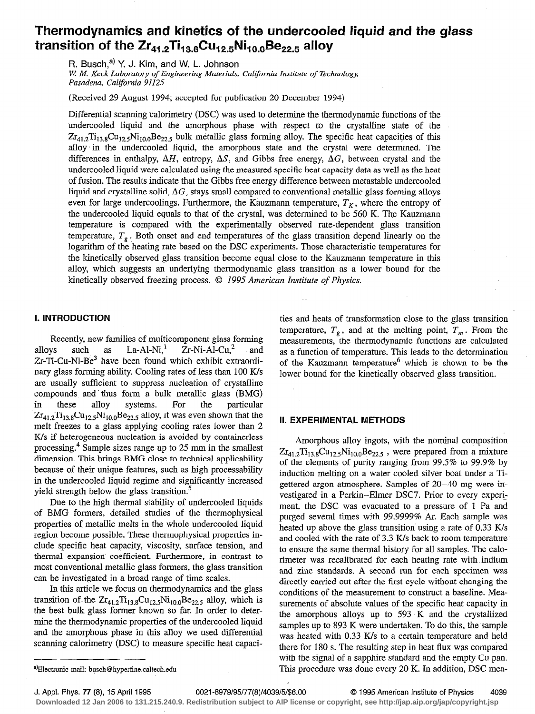# Thermodynamics and kinetics of the undercooled liquid and the glass transition of the  $Zr_{41.2}Ti_{13.8}Cu_{12.5}Ni_{10.0}Be_{22.5}$  alloy

R. Busch, $^{a)}$  Y. J. Kim, and W. L. Johnson W. M. Keck Laboratory of Engineering Materials, California Institute of Technology, Pasadena, California 91125

(Received 29 August 1994; accepted for publication 20 December 1994)

Differential scanning calorimetry (DSC) was used to determine the thermodynamic functions of the undercooled liquid and the amorphous phase with respect to the crystalline state of the  $Zr_{41.2}Ti_{13.8}Cu_{12.5}Ni_{10.0}Be_{22.5}$  bulk metallic glass forming alloy. The specific heat capacities of this alloy. in the undercooled liquid, the amorphous state and the crystal were determined. The differences in enthalpy,  $\Delta H$ , entropy,  $\Delta S$ , and Gibbs free energy,  $\Delta G$ , between crystal and the undercooled liquid were calculated using the measured specific heat capacity data as well as the heat of fusion. The results indicate that the Gibbs free energy difference between metastable undercooled liquid and crystalline solid,  $\Delta G$ , stays small compared to conventional metallic glass forming alloys even for large undercoolings. Furthermore, the Kauzmann temperature,  $T<sub>K</sub>$ , where the entropy of the undercooled liquid equals to that of the crystal, was determined to be 560 K. The Kauzmann temperature is compared with the experimentally observed rate-dependent glass transition temperature,  $T<sub>g</sub>$ . Both onset and end temperatures of the glass transition depend linearly on the logarithm of the heating rate based on the DSC experiments. Those characteristic temperatures for the kinetically observed glass transition become equal close to the Kauzmann temperature in this alloy, which suggests an underlying thermodynamic glass transition as a lower bound for the kinetically observed freezing process. © 1995 American Institute of Physics.

# I. INTRODUCTION

Recently, new families of multicomponent glass forming<br>ys such as  $La-Al-Ni<sup>1</sup> Zr-Ni-Al-Cu<sup>2</sup>$  and alloys such as  $La-Al-Ni<sup>1</sup>$   $Zr-Ni-Al-Cu<sup>2</sup>$  and Zr-Ti-Cu-Ni-Be<sup>3</sup> have been found which exhibit extraordinary glass forming ability. Cooling rates of less than 100 K/s are usually sufficient to suppress nucleation of crystalline compounds and thus form a bulk metallic glass (BMG) in these alloy systems. For the particular  $Zr_{41.2}Ti_{13.8}Cu_{12.5}Ni_{10.0}Be_{22.5}$  alloy, it was even shown that the melt freezes to a glass applying cooling rates lower than 2 K/s if heterogeneous nucleation is avoided by containerless processing.4 Sample sizes range up to 25 mm in the smallest dimension. This brings BMG close to technical applicability because of their unique features, such as high processability in the undercooled liquid regime and significantly increased yield strength below the glass transition.<sup>5</sup>

Due to the high thermal stability of undercooled liquids of BMG formers, detailed studies of the thermophysical properties of metallic melts in the whole undercooled liquid region become possible. These thermophysical properties include specific heat capacity, viscosity, surface tension, and thermal expansion- coefficient. Furthermore, in contrast to most conventional metallic glass formers, the glass transition can be investigated in a broad range of time scales.

In this article we focus on thermodynamics and the glass transition of the  $Zr_{41,2}Ti_{13,8}Cu_{12,5}Ni_{10,0}Be_{22,5}$  alloy, which is the best bulk glass former known so far. In order to determine the thermodynamic properties of the undercooled liquid and the amorphous phase in this alloy we used differential scanning calorimetry (DSC) to measure specific heat capaci-

ties and heats of transformation close to the glass transition temperature,  $T_g$ , and at the melting point,  $T_m$ . From the measurements, the thermodynamic functions are calculated as a function of temperature. This leads to the determination of the Kauzmann temperature<sup>6</sup> which is shown to be the lower bound for the kinetically observed glass transition.

#### II. EXPERIMENTAL METHODS

Amorphous alloy ingots, with the nominal composition  $Zr_{41.2}Ti_{13.8}Cu_{12.5}Ni_{10.0}Be_{22.5}$ , were prepared from a mixture of the elements of purity ranging from 99.5% to 99.9% by induction melting on a water cooled silver boat under a Tigettered argon atmosphere. Samples of 20-40 mg were investigated in a Perkin-Elmer DSC7. Prior to every experiment, the DSC was evacuated to a pressure of 1 Pa and purged several times with 99.9999% Ar. Each sample was heated up above the glass transition using a rate of 0.33 K/s and cooled with the rate of 3.3 K/s back to room temperature to ensure the same thermal history for all samples. The calorimeter was recalibrated for each heating rate with indium and zinc standards. A second run for each specimen was directly carried out after the first cycle without changing the conditions of the measurement to construct a baseline. Measurements of absolute values of the specific heat capacity in the amorphous alloys up to 593 K and the crystallized samples up to 893 K were undertaken. To do this, the sample was heated with 0.33 K/s to a certain temperature and held there for 180 s. The resulting step in heat flux was compared with the signal of a sapphire standard and the empty Cu pan. This procedure was done every 20 K. In addition, DSC mea-

-~

<sup>&</sup>lt;sup>a)</sup>Electronic mail: busch@hyperfine.caltech.edu

J. Appl. Phys. 77 (8), 15 April 1995 0021-8979/95/77(8)/4039/5/\$6.00 0 1995 American Institute of Physics 4039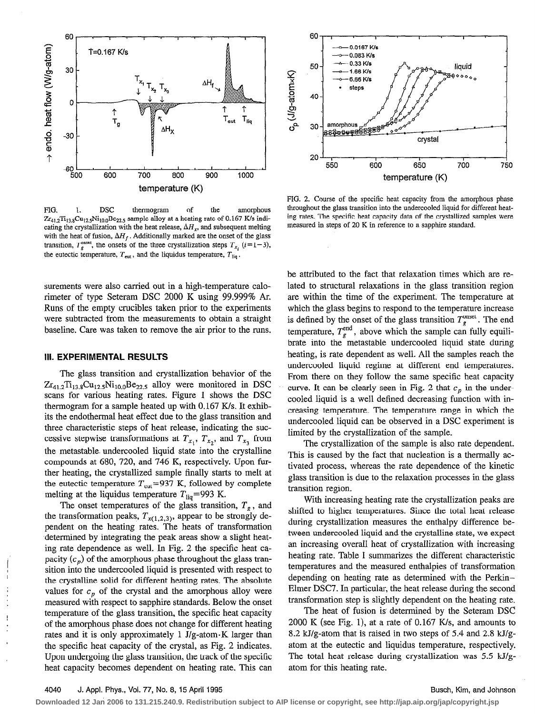

FIG. 1. DSC thermogram of the amorphous  $Zr_{412}Ti_{13,8}Cu_{12,5}Ni_{10,0}Be_{22,5}$  sample alloy at a heating rate of 0.167 K/s indicating the crystallization with the heat release,  $\Delta H_x$ , and subsequent melting with the heat of fusion,  $\Delta H_f$ . Additionally marked are the onset of the glass transition,  $T_g^{\text{onset}}$ , the onsets of the three crystallization steps  $T_{x_i}$  ( $i=1-3$ ), the eutectic temperature,  $T_{\text{cut}}$ , and the liquidus temperature,  $T_{\text{liq}}$ .

surements were also carried out in a high-temperature calorimeter of type Seteram DSC 2000 K using 99.999% Ar. Runs of the empty crucibles taken prior to the experiments were subtracted from the measurements to obtain a straight baseline. Care was taken to remove the air prior to the runs.

#### III. EXPERIMENTAL RESULTS

The glass transition and crystallization behavior of the  $Zr_{41.2}Ti_{13.8}Cu_{12.5}Ni_{10.0}Be_{22.5}$  alloy were monitored in DSC scans for various heating rates. Figure 1 shows the DSC thermogram for a sample heated up with 0.167 K/s. It exhibits the endothermal heat effect due to the glass transition and three characteristic steps of heat release, indicating the successive stepwise transformations at  $T_{x_1}$ ,  $T_{x_2}$ , and  $T_{x_3}$  from the metastable. undercooled liquid state into the crystalline compounds at 680, 720, and 746 K, respectively. Upon further heating, the crystallized sample finally starts to melt at the eutectic temperature  $T_{\text{cut}} = 937$  K, followed by complete melting at the liquidus temperature  $T_{\text{liq}}$ =993 K.

The onset temperatures of the glass transition,  $T_g$ , and the transformation peaks,  $T_{x(1,2,3)}$ , appear to be strongly dependent on the heating rates. The heats of transformation determined by integrating the peak areas show a slight heating rate dependence as well. In Fig. 2 the specific heat capacity  $(c_n)$  of the amorphous phase throughout the glass transition into the undercooled liquid is presented with respect to the crystalline solid for different heating rates. The absolute values for  $c_p$  of the crystal and the amorphous alloy were measured with respect to sapphire standards. Below the onset temperature of the glass transition, the specific heat capacity The heat of fusion is determined by the Seteram DSC<br>of the amorphous phase does not change for different heating 2000 K (see Fig. 1), at a rate of 0.167 K/s, of the amorphous phase does not change for different heating heat capacity becomes dependent on heating rate. This can atom for this heating rate.



FIG. 2. Course of the specific heat capacity from the amorphous phase throughout the glass transition into the undercooled liquid for different heating rates. The specific heat capacity data of the crystallized samples were measured in steps of 20 K in reference to a sapphire standard.

be attributed to the fact that relaxation times which are related to structural relaxations in the glass transition region are within the time of the experiment. The temperature at which the glass begins to respond to the temperature increase is defined by the onset of the glass transition  $T_{\varphi}^{\text{onset}}$ . The end temperature,  $T_g^{\text{end}}$ , above which the sample can fully equilibrate into the metastable undercooled liquid state during heating, is rate dependent as well. All the samples reach the undercooled liquid regime at different end temperatures. From there on they follow the same specific heat capacity curve. It can be clearly seen in Fig. 2 that  $c_p$  in the undercooled liquid is a well defined decreasing function with increasing temperature. The temperature range in which the undercooled liquid can be observed in a DSC experiment is limited by the crystallization of the sample.

The crystallization of the sample is also rate dependent. This is caused by the fact that nucleation is a thermally activated process, whereas the rate dependence of the kinetic glass transition is due to the relaxation processes in the glass transition region.

With increasing heating rate the crystallization peaks are shifted to higher temperatures. Since the total heat release during crystallization measures the enthalpy difference between undercooled liquid and the crystalline state, we expect an increasing overall heat of crystallization with increasing heating rate. Table I summarizes the different characteristic temperatures and the measured enthalpies of transformation depending on heating rate as determined with the Perkin-Elmer DSC7. In particular, the heat release during the second transformation step is slightly dependent on the heating rate.

rates and it is only approximately 1 J/g-atom $\cdot$ K larger than 8.2 kJ/g-atom that is raised in two steps of 5.4 and 2.8 kJ/gthe specific heat capacity of the crystal, as Pig. 2 indicates. atom at the eutectic and liquidus temperature, respectively. Upon undergoing the glass transition, the track of the specific The total heat release during crystallization was  $5.5 \text{ kJ/g}$ -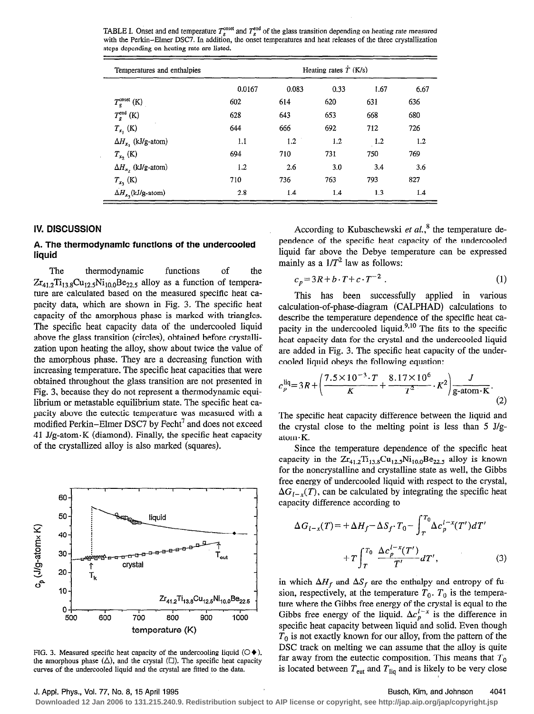TABLE I. Onset and end temperature  $T_s^{\text{onset}}$  and  $T_s^{\text{end}}$  of the glass transition depending on heating rate measured with the Perkin-Elmer DSC7. In addition, the onset temperatures and heat releases of the three crystallization steps depending on heating rate are listed.

| Temperatures and enthalpies  | Heating rates $\dot{T}$ (K/s) |       |      |      |      |
|------------------------------|-------------------------------|-------|------|------|------|
|                              | 0.0167                        | 0.083 | 0.33 | 1.67 | 6.67 |
| $T_g^{\text{onset}}$ (K)     | 602                           | 614   | 620  | 631  | 636  |
| $T_{g}^{\text{end}}$ (K)     | 628                           | 643   | 653  | 668  | 680  |
| $T_{x_1}$ (K)                | 644                           | 666   | 692  | 712  | 726  |
| $\Delta H_{x}$ , (kJ/g-atom) | 1.1                           | 1.2   | 1.2  | 1.2  | 1.2  |
| $T_{x_2}$ (K)                | 694                           | 710   | 731  | 750  | 769  |
| $\Delta H_{x}$ , (kJ/g-atom) | 1.2                           | 2.6   | 3.0  | 3.4  | 3.6  |
| $T_{x_3}$ (K)                | 710                           | 736   | 763  | 793  | 827  |
| $\Delta H_{x_3}$ (kJ/g-atom) | 2.8                           | 1.4   | 1.4  | 1.3  | 1.4  |

# IV. DISCUSSION

# A. The thermodynamic functions of the undercooled liquid

The thermodynamic functions of the  $Zr_{41.2}Ti_{13.8}Cu_{12.5}Ni_{10.0}Be_{22.5}$  alloy as a function of temperature are calculated based on the measured specific heat capacity data, which are shown in Fig. 3. The specific heat capacity of the amorphous phase is marked with triangles. The specific heat capacity data of the undercooled liquid above the glass transition (circles), obtained before crystallization upon heating the alloy, show about twice the value of the amorphous phase. They are a decreasing function with increasing temperature. The specific heat capacities that were obtained throughout the glass transition are not presented in Fig. 3, because they do not represent a thermodynamic equilibrium or metastable equilibrium state. The specific heat capacity above the eutectic temperature was measured with a modified Perkin-Elmer DSC7 by Fecht<sup>7</sup> and does not exceed 41 J/g-atom-K (diamond). Finally, the specific heat capacity of the crystallized alloy is also marked (squares).



FIG. 3. Measured specific heat capacity of the undercooling liquid  $(\bigcirc \blacklozenge)$ , the amorphous phase  $(\Delta)$ , and the crystal  $(\Box)$ . The specific heat capacity curves of the undercooled liquid and the crystal are fitted to the data.

According to Kubaschewski et  $al$ ,<sup>8</sup> the temperature dependence of the specific heat capacity of the undercooled liquid far above the Debye temperature can be expressed mainly as a  $1/T^2$  law as follows:

$$
c_p = 3R + b \cdot T + c \cdot T^{-2} \tag{1}
$$

This has been successfully applied in various calculation-of-phase-diagram (CALPHAD) calculations to describe the temperature dependence of the specific heat capacity in the undercooled liquid. $9,10$  The fits to the specific heat capacity data for the crystal and the undercooled liquid are added in Fig. 3. The specific heat capacity of the undercooled liquid obeys the following equation:

$$
c_p^{\text{liq}} = 3R + \left(\frac{7.5 \times 10^{-3} \cdot T}{K} + \frac{8.17 \times 10^6}{T^2} \cdot K^2\right) \frac{J}{g \text{-atom} \cdot K}.
$$
 (2)

The specific heat capacity difference between the liquid and the crystal close to the melting point is less than 5 J/g $atom·K$ .

Since the temperature dependence of the specific heat capacity in the  $Zr_{41,2}Ti_{13,8}Cu_{12,5}Ni_{10,0}Be_{22,5}$  alloy is known for the noncrystalline and crystalline state as well, the Gibbs free energy of undercooled liquid with respect to the crystal,  $\Delta G_{1-x}(T)$ , can be calculated by integrating the specific heat capacity difference according to

$$
\Delta G_{l-x}(T) = + \Delta H_f - \Delta S_f \cdot T_0 - \int_T^{T_0} \Delta c_p^{l-x}(T') dT' + T \int_T^{T_0} \frac{\Delta c_p^{l-x}(T')}{T'} dT',
$$
(3)

in which  $\Delta H_f$  and  $\Delta S_f$  are the enthalpy and entropy of fusion, respectively, at the temperature  $T_0$ .  $T_0$  is the temperature where the Gibbs free energy of the crystal is equal to the Gibbs free energy of the liquid.  $\Delta c_b^{l-x}$  is the difference in specific heat capacity between liquid and solid. Even though  $T_0$  is not exactly known for our alloy, from the pattern of the DSC track on melting we can assume that the alloy is quite far away from the eutectic composition. This means that  $T_0$ is located between  $T_{\text{cut}}$  and  $T_{\text{liq}}$  and is likely to be very close

#### J. Appl. Phys., Vol. 77, No. 8, 15 April 1995 Busch, Kim, and Johnson 4041

**Downloaded 12 Jan 2006 to 131.215.240.9. Redistribution subject to AIP license or copyright, see http://jap.aip.org/jap/copyright.jsp**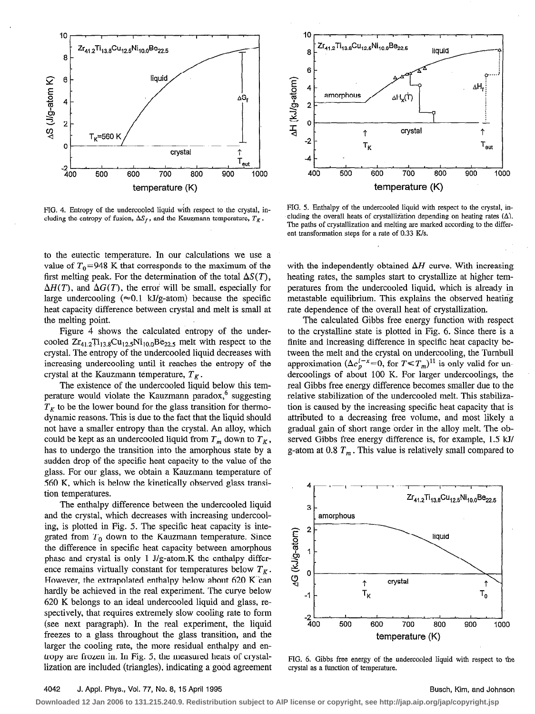

FIG. 4. Entropy of the undercooled liquid with respect to the crystal, including the entropy of fusion,  $\Delta S_f$ , and the Kauzmann temperature,  $T_K$ .

to the eutectic temperature. In our calculations we use a value of  $T_0$ =948 K that corresponds to the maximum of the first melting peak. For the determination of the total  $\Delta S(T)$ ,  $\Delta H(T)$ , and  $\Delta G(T)$ , the error will be small, especially for large undercooling ( $\approx 0.1$  kJ/g-atom) because the specific heat capacity difference between crystal and melt is small at the melting point.

Figure 4 shows the calculated entropy of the undercooled  $Zr_{41,2}Ti_{13,8}Cu_{12,5}Ni_{10,0}Be_{22,5}$  melt with respect to the crystal. The entropy of the undercooled liquid decreases with increasing undercooling until it reaches the entropy of the crystal at the Kauzmann temperature,  $T_K$ .

The existence of the undercooled liquid below this temperature would violate the Kauzmann paradox, $6$  suggesting  $T_K$  to be the lower bound for the glass transition for thermodynamic reasons. This is due to the fact that the liquid should not have a smaller entropy than the crystal. An alloy, which could be kept as an undercooled liquid from  $T_m$  down to  $T_K$ , has to undergo the transition into the amorphous state by a sudden drop of the specific heat capacity to the value of the glass. For our glass, we obtain a Kauzmann temperature of 560 K, which is below the kinetically observed glass transition temperatures.

The enthalpy difference between the undercooled liquid and the crystal, which decreases with increasing undercooling, is plotted in Fig. 5. The specific heat capacity is integrated from  $T_0$  down to the Kauzmann temperature. Since the difference in specific heat capacity between amorphous phase and crystal is only 1 J/g-atom.K the enthalpy difference remains virtually constant for temperatures below  $T_K$ . However, the extrapolated enthalpy below about 620 K'can hardly be achieved in the real experiment. The curve below 620 K belongs to an ideal undercooled liquid and glass, respectively, that requires extremely slow cooling rate to form (see next paragraph). In the real experiment, the liquid freezes to a glass throughout the glass transition, and the larger the cooling rate, the more residual enthalpy and entropy are frozen in. In Fig. 5, the measured heats of crystallization are included (triangles), indicating a good agreement



FIG. 5. Enthalpy of the undercooled liquid with respect to the crystal, including the overall heats of crystallization depending on heating rates  $(\Delta)$ . The paths of crystallization and melting are marked according to the different transformation steps for a rate of 0.33 K/s.

with the independently obtained  $\Delta H$  curve. With increasing heating rates, the samples start to crystallize at higher temperatures from the undercooled liquid, which is already in metastable equilibrium. This explains the observed heating rate dependence of the overall heat of crystallization.

The calculated Gibbs free energy function with respect to the crystalline state is plotted in Fig. 6. Since there is a finite and increasing difference in specific heat capacity between the melt and the crystal on undercooling, the Tumbull approximation  $(\Delta c_p^{l-x}= 0,$  for  $T \le T_m$ )<sup>11</sup> is only valid for undercoolings of about 100 K. For larger undercoolings, the real Gibbs free energy difference becomes smaller due to the relative stabilization of the undercooled melt. This stabilization is caused by the increasing specific heat capacity that is attributed to a decreasing free volume, and most likely a gradual gain of short range order in the alloy melt. The observed Gibbs free energy difference is, for example, 1.5 kJ/ g-atom at 0.8  $T_m$ . This value is relatively small compared to



FIG. 6. Gibbs free energy of the undercooled liquid with respect to the crystal as a function of temperature.

# 4042 J. Appl. Phys., Vol. 77, No. 8, 15 April 1995 Busch, Kim, and Johnson Busch, Kim, and Johnson